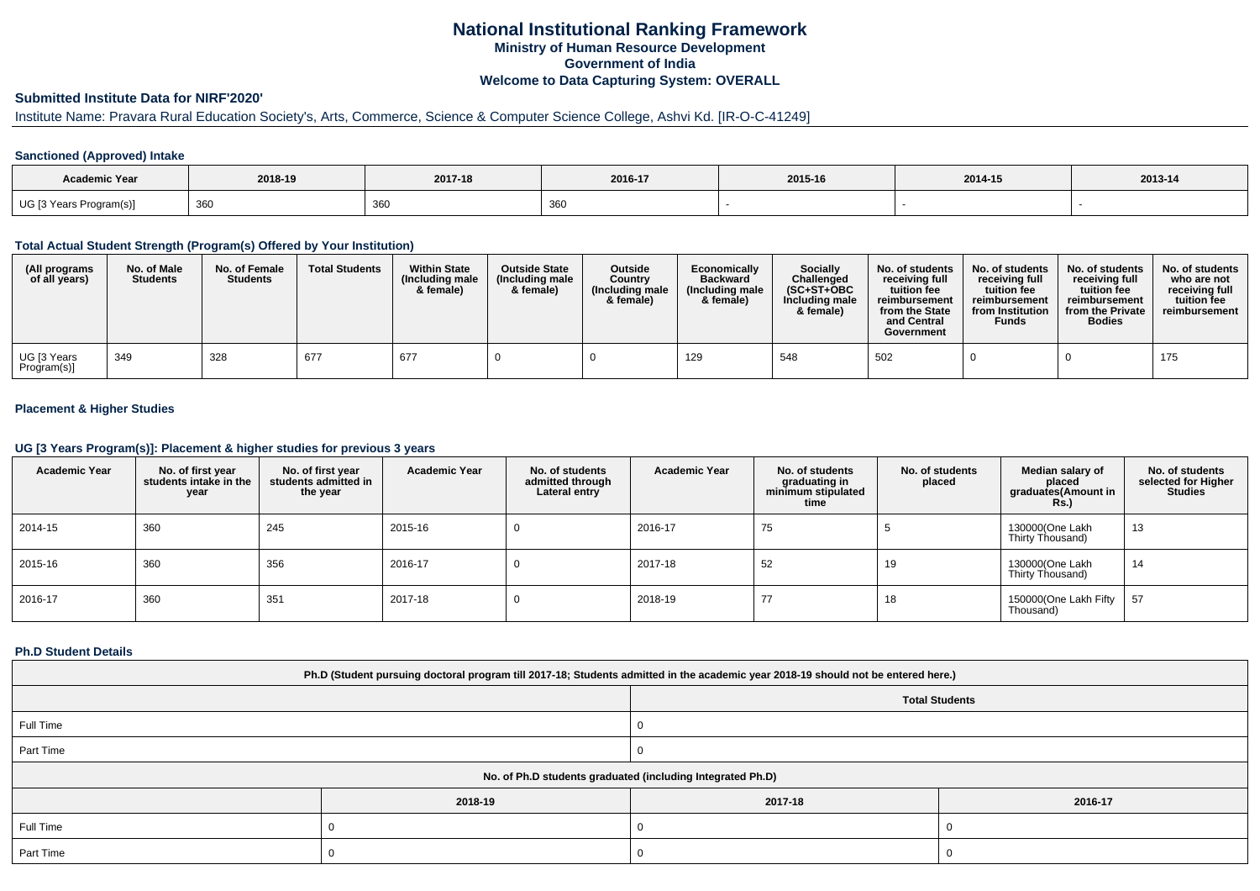## **National Institutional Ranking FrameworkMinistry of Human Resource DevelopmentGovernment of IndiaWelcome to Data Capturing System: OVERALL**

# **Submitted Institute Data for NIRF'2020'**

## Institute Name: Pravara Rural Education Society's, Arts, Commerce, Science & Computer Science College, Ashvi Kd. [IR-O-C-41249]

#### **Sanctioned (Approved) Intake**

| <b>Academic Year</b>    | 2018-19 | 2017-18     | 2016-17     | 2015-16 | 2014-15 | 2013-14 |
|-------------------------|---------|-------------|-------------|---------|---------|---------|
| UG [3 Years Program(s)] | 360     | 361<br>ັບບປ | 261<br>ັບບເ |         |         |         |

#### **Total Actual Student Strength (Program(s) Offered by Your Institution)**

| (All programs<br>of all years) | No. of Male<br><b>Students</b> | No. of Female<br><b>Students</b> | <b>Total Students</b> | <b>Within State</b><br>(Including male<br>& female) | <b>Outside State</b><br>(Including male)<br>& female) | <b>Outside</b><br>Country<br>(Including male<br>& female) | Economically<br><b>Backward</b><br>(Including male<br>& female) | <b>Socially</b><br>Challenged<br>$(SC+ST+OBC$<br>Including male<br>& female) | No. of students<br>receiving full<br>tuition fee<br>reimbursement<br>from the State<br>and Central<br>Government | No. of students<br>receiving full<br>tuition fee<br>reimbursement<br>from Institution<br><b>Funds</b> | No. of students<br>receiving full<br>tuition fee<br>reimbursement<br>from the Private<br><b>Bodies</b> | No. of students<br>who are not<br>receiving full<br>tuition fee<br>reimbursement |
|--------------------------------|--------------------------------|----------------------------------|-----------------------|-----------------------------------------------------|-------------------------------------------------------|-----------------------------------------------------------|-----------------------------------------------------------------|------------------------------------------------------------------------------|------------------------------------------------------------------------------------------------------------------|-------------------------------------------------------------------------------------------------------|--------------------------------------------------------------------------------------------------------|----------------------------------------------------------------------------------|
| UG [3 Years<br>Program(s)]     | 349                            | 328                              | 677                   | 677                                                 |                                                       |                                                           | 129                                                             | 548                                                                          | 502                                                                                                              |                                                                                                       |                                                                                                        | 175                                                                              |

#### **Placement & Higher Studies**

#### **UG [3 Years Program(s)]: Placement & higher studies for previous 3 years**

| <b>Academic Year</b> | No. of first year<br>students intake in the<br>year | No. of first vear<br>students admitted in<br>the year | <b>Academic Year</b> | No. of students<br>admitted through<br>Lateral entry | <b>Academic Year</b> | No. of students<br>graduating in<br>minimum stipulated<br>time | No. of students<br>placed | Median salary of<br>placed<br>graduates(Amount in<br>Rs. | No. of students<br>selected for Higher<br><b>Studies</b> |
|----------------------|-----------------------------------------------------|-------------------------------------------------------|----------------------|------------------------------------------------------|----------------------|----------------------------------------------------------------|---------------------------|----------------------------------------------------------|----------------------------------------------------------|
| 2014-15              | 360                                                 | 245                                                   | 2015-16              | 0                                                    | 2016-17              | 75                                                             |                           | 130000(One Lakh<br>Thirty Thousand)                      | 13                                                       |
| 2015-16              | 360                                                 | 356                                                   | 2016-17              |                                                      | 2017-18              | 52                                                             | 19                        | 130000(One Lakh<br>Thirty Thousand)                      | 14                                                       |
| 2016-17              | 360                                                 | 351                                                   | 2017-18              |                                                      | 2018-19              | 77                                                             | 18                        | 150000(One Lakh Fifty<br>Thousand)                       | 57                                                       |

#### **Ph.D Student Details**

| Ph.D (Student pursuing doctoral program till 2017-18; Students admitted in the academic year 2018-19 should not be entered here.) |                                                            |                       |         |  |  |
|-----------------------------------------------------------------------------------------------------------------------------------|------------------------------------------------------------|-----------------------|---------|--|--|
|                                                                                                                                   |                                                            | <b>Total Students</b> |         |  |  |
| Full Time                                                                                                                         |                                                            |                       |         |  |  |
| Part Time                                                                                                                         |                                                            |                       |         |  |  |
|                                                                                                                                   | No. of Ph.D students graduated (including Integrated Ph.D) |                       |         |  |  |
|                                                                                                                                   | 2018-19                                                    | 2017-18               | 2016-17 |  |  |
| Full Time                                                                                                                         |                                                            |                       |         |  |  |
| Part Time                                                                                                                         |                                                            |                       |         |  |  |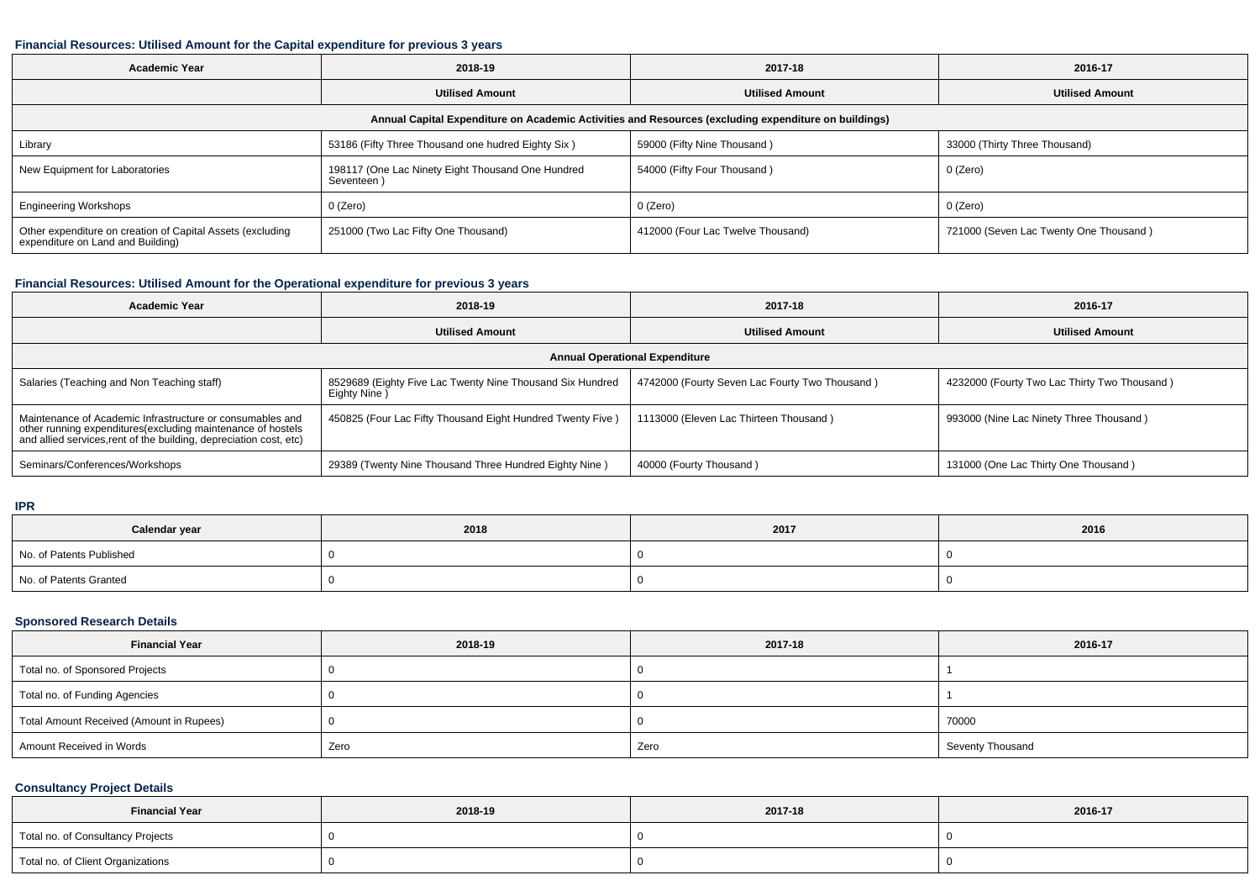### **Financial Resources: Utilised Amount for the Capital expenditure for previous 3 years**

| <b>Academic Year</b>                                                                                 | 2018-19                                                        | 2017-18                           | 2016-17                                |  |  |  |
|------------------------------------------------------------------------------------------------------|----------------------------------------------------------------|-----------------------------------|----------------------------------------|--|--|--|
|                                                                                                      | <b>Utilised Amount</b>                                         | <b>Utilised Amount</b>            | <b>Utilised Amount</b>                 |  |  |  |
| Annual Capital Expenditure on Academic Activities and Resources (excluding expenditure on buildings) |                                                                |                                   |                                        |  |  |  |
| Library                                                                                              | 53186 (Fifty Three Thousand one hudred Eighty Six)             | 59000 (Fifty Nine Thousand)       | 33000 (Thirty Three Thousand)          |  |  |  |
| New Equipment for Laboratories                                                                       | 198117 (One Lac Ninety Eight Thousand One Hundred<br>Seventeen | 54000 (Fifty Four Thousand)       | 0 (Zero)                               |  |  |  |
| <b>Engineering Workshops</b>                                                                         | 0 (Zero)                                                       | 0 (Zero)                          | 0 (Zero)                               |  |  |  |
| Other expenditure on creation of Capital Assets (excluding<br>expenditure on Land and Building)      | 251000 (Two Lac Fifty One Thousand)                            | 412000 (Four Lac Twelve Thousand) | 721000 (Seven Lac Twenty One Thousand) |  |  |  |

### **Financial Resources: Utilised Amount for the Operational expenditure for previous 3 years**

| Academic Year                                                                                                                                                                                  | 2018-19                                                                   | 2017-18                                        | 2016-17                                      |  |  |
|------------------------------------------------------------------------------------------------------------------------------------------------------------------------------------------------|---------------------------------------------------------------------------|------------------------------------------------|----------------------------------------------|--|--|
|                                                                                                                                                                                                | <b>Utilised Amount</b>                                                    | <b>Utilised Amount</b>                         | <b>Utilised Amount</b>                       |  |  |
| <b>Annual Operational Expenditure</b>                                                                                                                                                          |                                                                           |                                                |                                              |  |  |
| Salaries (Teaching and Non Teaching staff)                                                                                                                                                     | 8529689 (Eighty Five Lac Twenty Nine Thousand Six Hundred<br>Eighty Nine) | 4742000 (Fourty Seven Lac Fourty Two Thousand) | 4232000 (Fourty Two Lac Thirty Two Thousand) |  |  |
| Maintenance of Academic Infrastructure or consumables and<br>other running expenditures(excluding maintenance of hostels<br>and allied services, rent of the building, depreciation cost, etc) | 450825 (Four Lac Fifty Thousand Eight Hundred Twenty Five)                | 1113000 (Eleven Lac Thirteen Thousand)         | 993000 (Nine Lac Ninety Three Thousand)      |  |  |
| Seminars/Conferences/Workshops                                                                                                                                                                 | 29389 (Twenty Nine Thousand Three Hundred Eighty Nine)                    | 40000 (Fourty Thousand)                        | 131000 (One Lac Thirty One Thousand)         |  |  |

**IPR**

| Calendar year            | 2018 | 2017 | 2016 |
|--------------------------|------|------|------|
| No. of Patents Published |      |      |      |
| No. of Patents Granted   |      |      |      |

### **Sponsored Research Details**

| <b>Financial Year</b>                    | 2018-19 | 2017-18 | 2016-17          |
|------------------------------------------|---------|---------|------------------|
| Total no. of Sponsored Projects          |         |         |                  |
| Total no. of Funding Agencies            |         |         |                  |
| Total Amount Received (Amount in Rupees) |         |         | 70000            |
| Amount Received in Words                 | Zero    | Zero    | Seventy Thousand |

# **Consultancy Project Details**

| <b>Financial Year</b>             | 2018-19 | 2017-18 | 2016-17 |
|-----------------------------------|---------|---------|---------|
| Total no. of Consultancy Projects |         |         |         |
| Total no. of Client Organizations |         |         |         |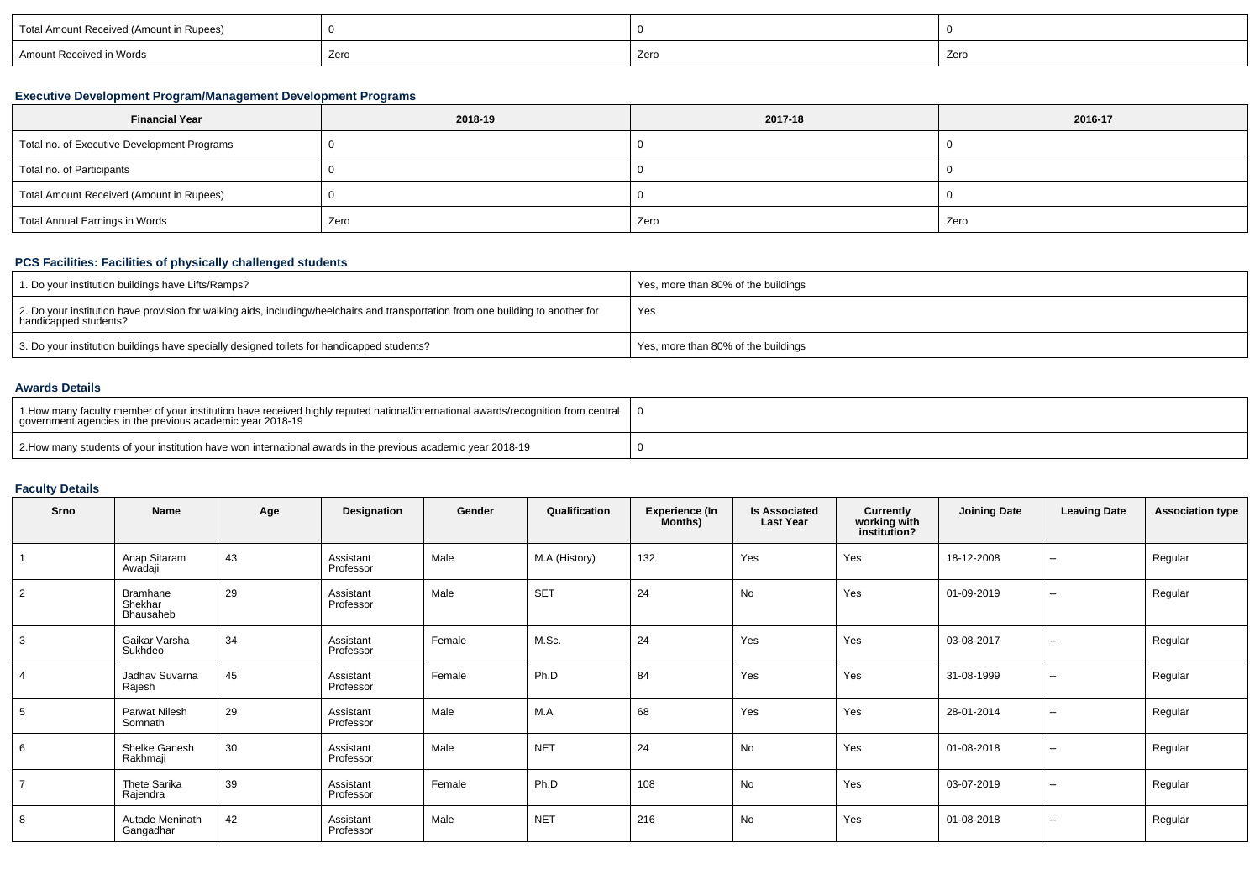| Total Amount Received (Amount in Rupees) |      |      |      |
|------------------------------------------|------|------|------|
| Amount Received in Words                 | Zero | Zero | Zero |

### **Executive Development Program/Management Development Programs**

| <b>Financial Year</b>                       | 2018-19 | 2017-18 | 2016-17 |
|---------------------------------------------|---------|---------|---------|
| Total no. of Executive Development Programs |         |         |         |
| Total no. of Participants                   |         |         |         |
| Total Amount Received (Amount in Rupees)    |         |         |         |
| Total Annual Earnings in Words              | Zero    | Zero    | Zero    |

# **PCS Facilities: Facilities of physically challenged students**

| 1. Do your institution buildings have Lifts/Ramps?                                                                                                        | Yes, more than 80% of the buildings |
|-----------------------------------------------------------------------------------------------------------------------------------------------------------|-------------------------------------|
| 2. Do your institution have provision for walking aids, includingwheelchairs and transportation from one building to another for<br>handicapped students? | Yes                                 |
| 3. Do your institution buildings have specially designed toilets for handicapped students?                                                                | Yes, more than 80% of the buildings |

### **Awards Details**

| 1. How many faculty member of your institution have received highly reputed national/international awards/recognition from central<br>government agencies in the previous academic year 2018-19 |  |
|-------------------------------------------------------------------------------------------------------------------------------------------------------------------------------------------------|--|
| 2. How many students of your institution have won international awards in the previous academic year 2018-19                                                                                    |  |

### **Faculty Details**

| Srno           | Name                             | Age | Designation            | Gender | Qualification | Experience (In<br>Months) | <b>Is Associated</b><br><b>Last Year</b> | Currently<br>working with<br>institution? | <b>Joining Date</b> | <b>Leaving Date</b>      | <b>Association type</b> |
|----------------|----------------------------------|-----|------------------------|--------|---------------|---------------------------|------------------------------------------|-------------------------------------------|---------------------|--------------------------|-------------------------|
|                | Anap Sitaram<br>Awadaji          | 43  | Assistant<br>Professor | Male   | M.A.(History) | 132                       | Yes                                      | Yes                                       | 18-12-2008          | $\sim$                   | Regular                 |
| $\overline{2}$ | Bramhane<br>Shekhar<br>Bhausaheb | 29  | Assistant<br>Professor | Male   | <b>SET</b>    | 24                        | No                                       | Yes                                       | 01-09-2019          | $\overline{\phantom{a}}$ | Regular                 |
| 3              | Gaikar Varsha<br>Sukhdeo         | 34  | Assistant<br>Professor | Female | M.Sc.         | 24                        | Yes                                      | Yes                                       | 03-08-2017          | $\overline{\phantom{a}}$ | Regular                 |
| $\overline{4}$ | Jadhav Suvarna<br>Rajesh         | 45  | Assistant<br>Professor | Female | Ph.D          | 84                        | Yes                                      | Yes                                       | 31-08-1999          | $\overline{\phantom{a}}$ | Regular                 |
| 5              | Parwat Nilesh<br>Somnath         | 29  | Assistant<br>Professor | Male   | M.A           | 68                        | Yes                                      | Yes                                       | 28-01-2014          | $\sim$                   | Regular                 |
| 6              | Shelke Ganesh<br>Rakhmaji        | 30  | Assistant<br>Professor | Male   | <b>NET</b>    | 24                        | No                                       | Yes                                       | 01-08-2018          | $\sim$                   | Regular                 |
| $\overline{7}$ | Thete Sarika<br>Rajendra         | 39  | Assistant<br>Professor | Female | Ph.D          | 108                       | No                                       | Yes                                       | 03-07-2019          | $\sim$                   | Regular                 |
| 8              | Autade Meninath<br>Gangadhar     | 42  | Assistant<br>Professor | Male   | <b>NET</b>    | 216                       | No                                       | Yes                                       | 01-08-2018          | $\sim$                   | Regular                 |